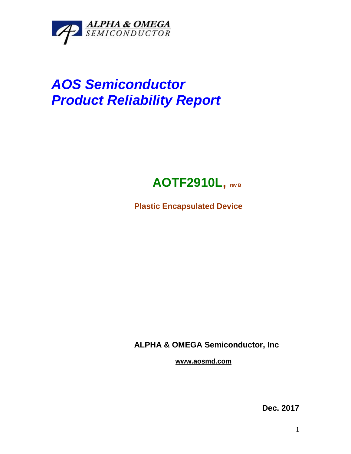

## *AOS Semiconductor Product Reliability Report*



**Plastic Encapsulated Device**

**ALPHA & OMEGA Semiconductor, Inc**

**www.aosmd.com**

**Dec. 2017**